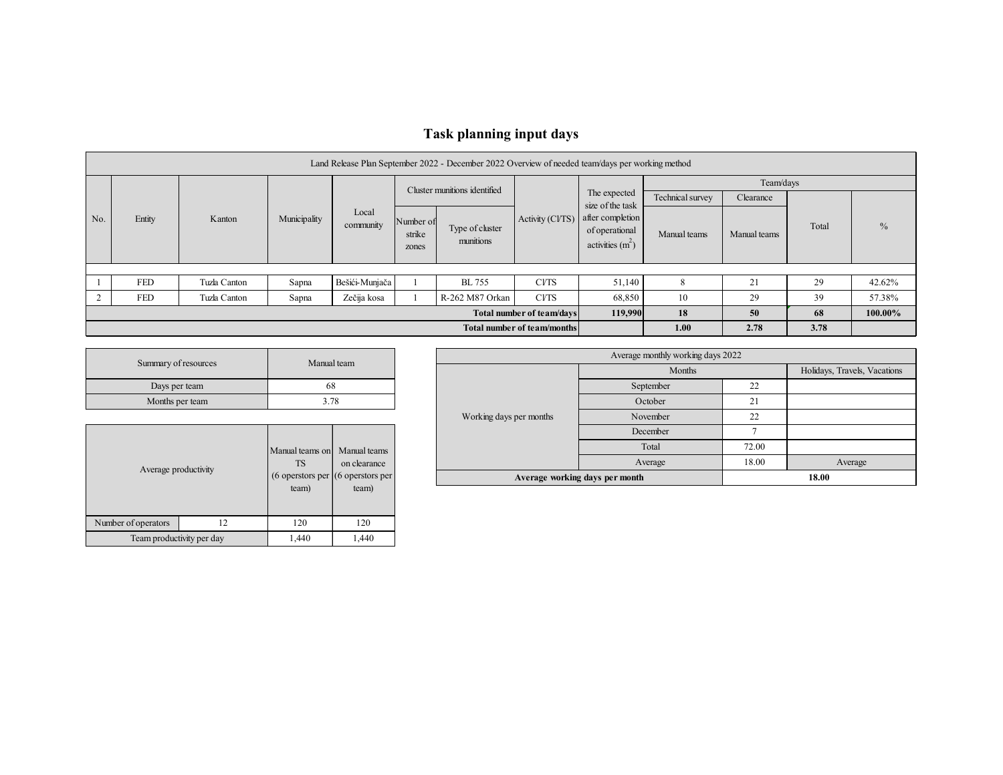## **Task planning input days**

|     | Land Release Plan September 2022 - December 2022 Overview of needed team/days per working method |              |              |                    |                                      |                              |                 |                                                         |                  |              |       |        |  |  |
|-----|--------------------------------------------------------------------------------------------------|--------------|--------------|--------------------|--------------------------------------|------------------------------|-----------------|---------------------------------------------------------|------------------|--------------|-------|--------|--|--|
|     |                                                                                                  |              |              |                    | Cluster munitions identified         |                              |                 |                                                         | Team/days        |              |       |        |  |  |
|     |                                                                                                  |              |              |                    |                                      |                              |                 | The expected<br>size of the task                        | Technical survey | Clearance    |       |        |  |  |
| No. | Entity                                                                                           | Kanton       | Municipality | Local<br>community | Number of<br>strike<br>zones         | Type of cluster<br>munitions | Activity (CVTS) | after completion<br>of operational<br>activities $(m2)$ | Manual teams     | Manual teams | Total | $\%$   |  |  |
|     |                                                                                                  |              |              |                    |                                      |                              |                 |                                                         |                  |              |       |        |  |  |
|     | <b>FED</b>                                                                                       | Tuzla Canton | Sapna        | Bešići-Munjača     |                                      | <b>BL</b> 755                | <b>CVTS</b>     | 51,140                                                  | 8                | 21           | 29    | 42.62% |  |  |
|     | <b>FED</b>                                                                                       | Tuzla Canton | Sapna        | Zečija kosa        |                                      | R-262 M87 Orkan              | <b>CVTS</b>     | 68,850                                                  | 10               | 29           | 39    | 57.38% |  |  |
|     |                                                                                                  |              |              |                    | 119,990<br>Total number of team/days | 18                           | 50              | 68                                                      | 100.00%          |              |       |        |  |  |
|     |                                                                                                  |              |              |                    | Total number of team/months          | 1.00                         | 2.78            | 3.78                                                    |                  |              |       |        |  |  |

| Summary of resources | Manual team |
|----------------------|-------------|
| Days per team        |             |
| Months per team      | 3 78        |

| Average productivity      |    | Manual teams on Manual teams<br><b>TS</b><br>$(6$ operstors per $(6$ operstors per<br>team) | on clearance<br>team) |  |
|---------------------------|----|---------------------------------------------------------------------------------------------|-----------------------|--|
| Number of operators       | 12 | 120                                                                                         | 120                   |  |
| Team productivity per day |    | 1,440                                                                                       | 1,440                 |  |

|                                                     |                         | Average monthly working days 2022 |       |                              |  |  |
|-----------------------------------------------------|-------------------------|-----------------------------------|-------|------------------------------|--|--|
| m                                                   |                         | Months                            |       | Holidays, Travels, Vacations |  |  |
|                                                     |                         | September                         | 22    |                              |  |  |
|                                                     |                         | October                           | 21    |                              |  |  |
|                                                     | Working days per months | November                          | 22    |                              |  |  |
|                                                     |                         | December                          |       |                              |  |  |
| anual teams                                         |                         | Total                             | 72.00 |                              |  |  |
| n clearance                                         |                         | Average                           | 18.00 | Average                      |  |  |
| perstors per<br>the contract of the contract of the |                         | Average working days per month    |       | 18.00                        |  |  |